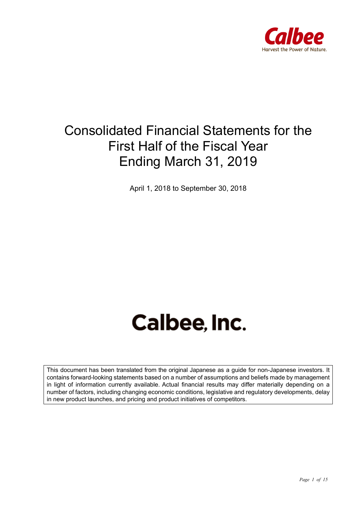

## Consolidated Financial Statements for the First Half of the Fiscal Year Ending March 31, 2019

April 1, 2018 to September 30, 2018

# Calbee, Inc.

This document has been translated from the original Japanese as a guide for non-Japanese investors. It contains forward-looking statements based on a number of assumptions and beliefs made by management in light of information currently available. Actual financial results may differ materially depending on a number of factors, including changing economic conditions, legislative and regulatory developments, delay in new product launches, and pricing and product initiatives of competitors.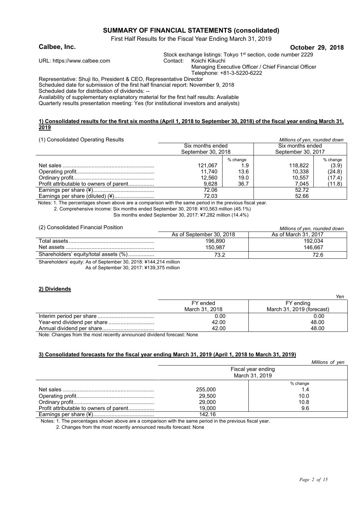#### **SUMMARY OF FINANCIAL STATEMENTS (consolidated)**

First Half Results for the Fiscal Year Ending March 31, 2019

#### **Calbee, Inc. October 29, 2018**

Stock exchange listings: Tokyo 1<sup>st</sup> section, code number 2229

URL: https://www.calbee.com Contact: Koichi Kikuchi

Managing Executive Officer / Chief Financial Officer Telephone: +81-3-5220-6222

Representative: Shuji Ito, President & CEO, Representative Director Scheduled date for submission of the first half financial report: November 9, 2018

Scheduled date for distribution of dividends: --

Availability of supplementary explanatory material for the first half results: Available

Quarterly results presentation meeting: Yes (for institutional investors and analysts)

#### **1) Consolidated results for the first six months (April 1, 2018 to September 30, 2018) of the fiscal year ending March 31, 2019**

#### (1) Consolidated Operating Results *Millions of yen, rounded down*

| 1.1 Concomadioa Oporaling Roodito       |                    |          |                    |          |
|-----------------------------------------|--------------------|----------|--------------------|----------|
|                                         | Six months ended   |          | Six months ended   |          |
|                                         | September 30, 2018 |          | September 30, 2017 |          |
|                                         |                    | % change |                    | % change |
|                                         | 121,067            | 1.9      | 118,822            | (3.9)    |
|                                         | 11.740             | 13.6     | 10.338             | (24.8)   |
|                                         | 12.560             | 19.0     | 10.557             | (17.4)   |
| Profit attributable to owners of parent | 9.628              | 36.7     | 7.045              | (11.8)   |
|                                         | 72.06              |          | 52.72              |          |
| Earnings per share (diluted) (¥)        | 72.03              |          | 52.66              |          |
|                                         |                    |          |                    |          |

Notes: 1. The percentages shown above are a comparison with the same period in the previous fiscal year. 2. Comprehensive income: Six months ended September 30, 2018: ¥10,563 million (45.1%)

Six months ended September 30, 2017: ¥7,282 million (14.4%)

| (2) Consolidated Financial Position   |                          | Millions of yen, rounded down |
|---------------------------------------|--------------------------|-------------------------------|
|                                       | As of September 30, 2018 | As of March 31, 2017          |
|                                       | 196.890                  | 192.034                       |
|                                       | 150.987                  | 146.667                       |
| Shareholders' equity/total assets (%) | 73.2                     | 72.6                          |
|                                       |                          |                               |

Shareholders' equity: As of September 30, 2018: ¥144,214 million

As of September 30, 2017: ¥139,375 million

#### **2) Dividends**

|                | Yen                       |
|----------------|---------------------------|
| FY ended       | FY ending                 |
| March 31, 2018 | March 31, 2019 (forecast) |
| 0.00           | 0.00                      |
| 42.00          | 48.00                     |
| 42.00          | 48.00                     |

Note: Changes from the most recently announced dividend forecast: None

#### **3) Consolidated forecasts for the fiscal year ending March 31, 2019 (April 1, 2018 to March 31, 2019)**

|                                         |                                      | Millions of yen |  |
|-----------------------------------------|--------------------------------------|-----------------|--|
|                                         | Fiscal year ending<br>March 31, 2019 |                 |  |
|                                         |                                      | % change        |  |
|                                         | 255,000                              | 1.4             |  |
|                                         | 29,500                               | 10.0            |  |
|                                         | 29,000                               | 10.8            |  |
| Profit attributable to owners of parent | 19.000                               | 9.6             |  |
|                                         | 142.16                               |                 |  |

Notes: 1. The percentages shown above are a comparison with the same period in the previous fiscal year.

2. Changes from the most recently announced results forecast: None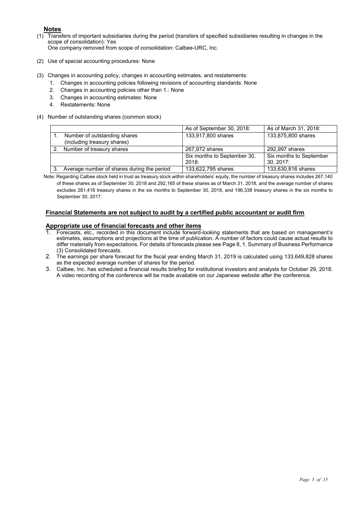#### **Notes**

(1) Transfers of important subsidiaries during the period (transfers of specified subsidiaries resulting in changes in the scope of consolidation): Yes

One company removed from scope of consolidation: Calbee-URC, Inc.

- (2) Use of special accounting procedures: None
- (3) Changes in accounting policy, changes in accounting estimates, and restatements:
	- 1. Changes in accounting policies following revisions of accounting standards: None
	- 2. Changes in accounting policies other than 1.: None
	- 3. Changes in accounting estimates: None
	- 4. Restatements: None
- (4) Number of outstanding shares (common stock)

|                                            | As of September 30, 2018:            | As of March 31, 2018:                  |
|--------------------------------------------|--------------------------------------|----------------------------------------|
| Number of outstanding shares               | 133,917,800 shares                   | 133,875,800 shares                     |
| (including treasury shares)                |                                      |                                        |
| Number of treasury shares                  | 267,972 shares                       | 292,997 shares                         |
|                                            | Six months to September 30,<br>2018: | Six months to September<br>$30.2017$ : |
| Average number of shares during the period | 133,622,795 shares                   | 133,630,816 shares                     |

Note: Regarding Calbee stock held in trust as treasury stock within shareholders' equity, the number of treasury shares includes 267,140 of these shares as of September 30, 2018 and 292,165 of these shares as of March 31, 2018, and the average number of shares excludes 281,416 treasury shares in the six months to September 30, 2018, and 196,338 treasury shares in the six months to September 30, 2017.

#### **Financial Statements are not subject to audit by a certified public accountant or audit firm**

#### **Appropriate use of financial forecasts and other items**

- 1. Forecasts, etc., recorded in this document include forward-looking statements that are based on management's estimates, assumptions and projections at the time of publication. A number of factors could cause actual results to differ materially from expectations. For details of forecasts please see Page 8, 1. Summary of Business Performance (3) Consolidated forecasts.
- 2. The earnings per share forecast for the fiscal year ending March 31, 2019 is calculated using 133,649,828 shares as the expected average number of shares for the period.
- 3. Calbee, Inc. has scheduled a financial results briefing for institutional investors and analysts for October 29, 2018. A video recording of the conference will be made available on our Japanese website after the conference.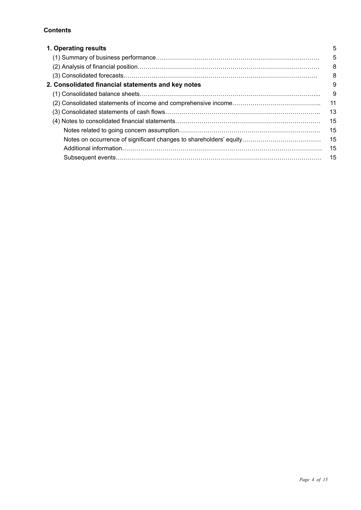#### **Contents**

| 1. Operating results                               | 5  |
|----------------------------------------------------|----|
|                                                    | 5  |
|                                                    | 8  |
|                                                    | 8  |
| 2. Consolidated financial statements and key notes | 9  |
|                                                    | 9  |
|                                                    | 11 |
|                                                    | 13 |
|                                                    | 15 |
|                                                    | 15 |
|                                                    | 15 |
|                                                    | 15 |
|                                                    | 15 |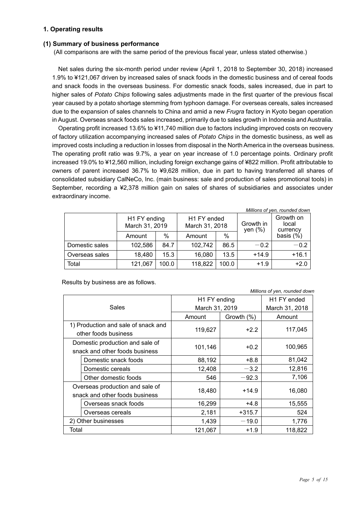#### **1. Operating results**

#### **(1) Summary of business performance**

(All comparisons are with the same period of the previous fiscal year, unless stated otherwise.)

Net sales during the six-month period under review (April 1, 2018 to September 30, 2018) increased 1.9% to ¥121,067 driven by increased sales of snack foods in the domestic business and of cereal foods and snack foods in the overseas business. For domestic snack foods, sales increased, due in part to higher sales of *Potato Chips* following sales adjustments made in the first quarter of the previous fiscal year caused by a potato shortage stemming from typhoon damage. For overseas cereals, sales increased due to the expansion of sales channels to China and amid a new *Frugra* factory in Kyoto began operation in August. Overseas snack foods sales increased, primarily due to sales growth in Indonesia and Australia.

Operating profit increased 13.6% to ¥11,740 million due to factors including improved costs on recovery of factory utilization accompanying increased sales of *Potato Chips* in the domestic business, as well as improved costs including a reduction in losses from disposal in the North America in the overseas business. The operating profit ratio was 9.7%, a year on year increase of 1.0 percentage points. Ordinary profit increased 19.0% to ¥12,560 million, including foreign exchange gains of ¥822 million. Profit attributable to owners of parent increased 36.7% to ¥9,628 million, due in part to having transferred all shares of consolidated subsidiary CalNeCo, Inc. (main business: sale and production of sales promotional tools) in September, recording a ¥2,378 million gain on sales of shares of subsidiaries and associates under extraordinary income.

|                | H1 FY ending<br>March 31, 2019 |       | H1 FY ended<br>March 31, 2018 |       | Growth in<br>yen $(\%)$ | Millions of yen, rounded down<br>Growth on<br>local<br>currency |
|----------------|--------------------------------|-------|-------------------------------|-------|-------------------------|-----------------------------------------------------------------|
|                | Amount                         | $\%$  | Amount                        | $\%$  |                         | basis $(\%)$                                                    |
| Domestic sales | 102,586                        | 84.7  | 102,742                       | 86.5  | $-0.2$                  | $-0.2$                                                          |
| Overseas sales | 18,480                         | 15.3  | 16,080                        | 13.5  | $+14.9$                 | $+16.1$                                                         |
| Total          | 121,067                        | 100.0 | 118,822                       | 100.0 | $+1.9$                  | $+2.0$                                                          |

Results by business are as follows.

*Millions of yen, rounded down* Sales H1 FY ending March 31, 2019 H1 FY ended March 31, 2018 Amount Growth (%) Amount 1) Production and sale of snack and The duction and safe of shack and<br>  $\left| \frac{119,627}{24} \right|$  +2.2 117,045 Domestic production and sale of snack and other foods business 101,146 +0.2 +0.2 100,965 Domestic snack foods  $88,192$  +8.8 81,042 Domestic cereals  $\vert$  12,408  $\vert$  -3.2  $\vert$  12,816 Other domestic foods  $\begin{array}{|c|c|c|c|c|c|c|c|c|} \hline \text{Other domestic foods} & & & & -92.3 & & 7,106 \ \hline \end{array}$ Overseas production and sale of Sverseas production and sale of the 18,480 +14.9 16,080 had ther foods business Overseas snack foods 16,299 +4.8 15,555 Overseas cereals 2,181 +315.7 524 2) Other businesses  $\begin{array}{ccc} \vert & 1,439 \vert & -19.0 \vert & 1,776 \end{array}$ Total 121,067 +1.9 121,067 +1.9 118,822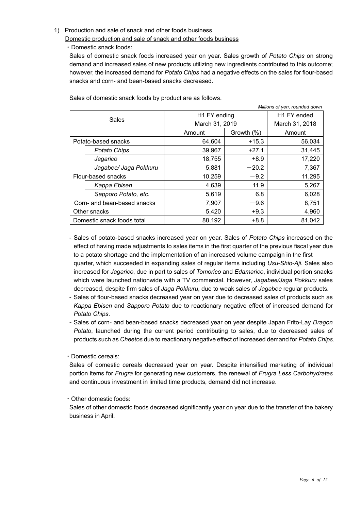#### 1) Production and sale of snack and other foods business

Domestic production and sale of snack and other foods business

・Domestic snack foods:

Sales of domestic snack foods increased year on year. Sales growth of *Potato Chips* on strong demand and increased sales of new products utilizing new ingredients contributed to this outcome; however, the increased demand for *Potato Chips* had a negative effects on the sales for flour-based snacks and corn- and bean-based snacks decreased.

|              |                             | Millions of yen, rounded down |                         |                |
|--------------|-----------------------------|-------------------------------|-------------------------|----------------|
| Sales        |                             | H1 FY ending                  | H <sub>1</sub> FY ended |                |
|              |                             | March 31, 2019                |                         | March 31, 2018 |
|              |                             | Amount                        | Growth (%)              | Amount         |
|              | Potato-based snacks         | 64,604                        | $+15.3$                 | 56,034         |
|              | Potato Chips                | 39,967                        | $+27.1$                 | 31,445         |
|              | Jagarico                    | 18,755                        | $+8.9$                  | 17,220         |
|              | Jagabee/ Jaga Pokkuru       | 5,881                         | $-20.2$                 | 7,367          |
|              | Flour-based snacks          | 10,259                        | $-9.2$                  | 11,295         |
|              | Kappa Ebisen                | 4,639                         | $-11.9$                 | 5,267          |
|              | Sapporo Potato, etc.        | 5,619                         | $-6.8$                  | 6,028          |
|              | Corn- and bean-based snacks | 7,907                         | $-9.6$                  | 8,751          |
| Other snacks |                             | 5,420                         | $+9.3$                  | 4,960          |
|              | Domestic snack foods total  | 88,192                        | $+8.8$                  | 81,042         |

Sales of domestic snack foods by product are as follows.

- Sales of potato-based snacks increased year on year. Sales of *Potato Chips* increased on the effect of having made adjustments to sales items in the first quarter of the previous fiscal year due to a potato shortage and the implementation of an increased volume campaign in the first quarter, which succeeded in expanding sales of regular items including *Usu-Shio-Aji.* Sales also increased for *Jagarico*, due in part to sales of *Tomorico* and *Edamarico*, individual portion snacks which were launched nationwide with a TV commercial. However, *Jagabee/Jaga Pokkuru* sales decreased, despite firm sales of *Jaga Pokkuru*, due to weak sales of *Jagabee* regular products*.*
- Sales of flour-based snacks decreased year on year due to decreased sales of products such as *Kappa Ebisen* and *Sapporo Potato* due to reactionary negative effect of increased demand for *Potato Chips*.
- Sales of corn- and bean-based snacks decreased year on year despite Japan Frito-Lay *Dragon Potato*, launched during the current period contributing to sales, due to decreased sales of products such as *Cheetos* due to reactionary negative effect of increased demand for *Potato Chips.*
- ・Domestic cereals:

Sales of domestic cereals decreased year on year. Despite intensified marketing of individual portion items for *Frugra* for generating new customers, the renewal of *Frugra Less Carbohydrates* and continuous investment in limited time products, demand did not increase.

・Other domestic foods:

Sales of other domestic foods decreased significantly year on year due to the transfer of the bakery business in April.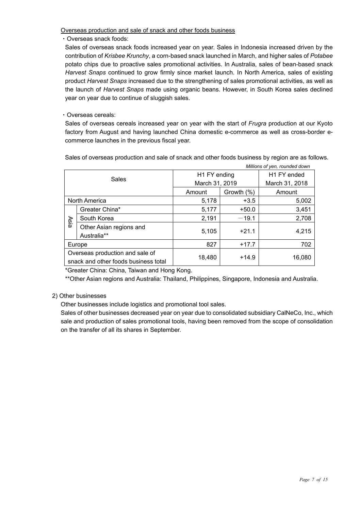Overseas production and sale of snack and other foods business

・Overseas snack foods:

Sales of overseas snack foods increased year on year. Sales in Indonesia increased driven by the contribution of *Krisbee Krunchy*, a corn-based snack launched in March, and higher sales of *Potabee* potato chips due to proactive sales promotional activities. In Australia, sales of bean-based snack *Harvest Snaps* continued to grow firmly since market launch. In North America, sales of existing product *Harvest Snaps* increased due to the strengthening of sales promotional activities, as well as the launch of *Harvest Snaps* made using organic beans. However, in South Korea sales declined year on year due to continue of sluggish sales.

#### ・Overseas cereals:

Sales of overseas cereals increased year on year with the start of *Frugra* production at our Kyoto factory from August and having launched China domestic e-commerce as well as cross-border ecommerce launches in the previous fiscal year.

Sales of overseas production and sale of snack and other foods business by region are as follows.

*Millions of yen, rounded down*

|       |                                                                         |                      |                         | <u><i>Nimons of Yon, rounded down</i></u> |
|-------|-------------------------------------------------------------------------|----------------------|-------------------------|-------------------------------------------|
| Sales |                                                                         | H1 FY ending         | H <sub>1</sub> FY ended |                                           |
|       |                                                                         | March 31, 2019       | March 31, 2018          |                                           |
|       |                                                                         | Growth (%)<br>Amount |                         | Amount                                    |
|       | North America                                                           | 5,178                | $+3.5$                  |                                           |
|       | Greater China*                                                          | 5,177                | $+50.0$                 | 3,451                                     |
| Asia  | South Korea                                                             | 2,191                | $-19.1$                 | 2,708                                     |
|       | Other Asian regions and<br>Australia**                                  | 5,105                | $+21.1$                 | 4,215                                     |
|       | Europe                                                                  | 827                  | $+17.7$                 | 702                                       |
|       | Overseas production and sale of<br>snack and other foods business total | 18,480               | $+14.9$                 | 16,080                                    |

\*Greater China: China, Taiwan and Hong Kong.

\*\*Other Asian regions and Australia: Thailand, Philippines, Singapore, Indonesia and Australia.

#### 2) Other businesses

Other businesses include logistics and promotional tool sales.

Sales of other businesses decreased year on year due to consolidated subsidiary CalNeCo, Inc., which sale and production of sales promotional tools, having been removed from the scope of consolidation on the transfer of all its shares in September.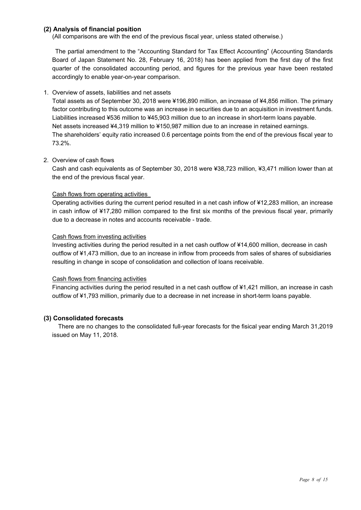#### **(2) Analysis of financial position**

(All comparisons are with the end of the previous fiscal year, unless stated otherwise.)

The partial amendment to the "Accounting Standard for Tax Effect Accounting" (Accounting Standards Board of Japan Statement No. 28, February 16, 2018) has been applied from the first day of the first quarter of the consolidated accounting period, and figures for the previous year have been restated accordingly to enable year-on-year comparison.

#### 1. Overview of assets, liabilities and net assets

Total assets as of September 30, 2018 were ¥196,890 million, an increase of ¥4,856 million. The primary factor contributing to this outcome was an increase in securities due to an acquisition in investment funds. Liabilities increased ¥536 million to ¥45,903 million due to an increase in short-term loans payable. Net assets increased ¥4,319 million to ¥150,987 million due to an increase in retained earnings. The shareholders' equity ratio increased 0.6 percentage points from the end of the previous fiscal year to 73.2%.

#### 2. Overview of cash flows

Cash and cash equivalents as of September 30, 2018 were ¥38,723 million, ¥3,471 million lower than at the end of the previous fiscal year.

#### Cash flows from operating activities

Operating activities during the current period resulted in a net cash inflow of ¥12,283 million, an increase in cash inflow of ¥17,280 million compared to the first six months of the previous fiscal year, primarily due to a decrease in notes and accounts receivable - trade.

#### Cash flows from investing activities

Investing activities during the period resulted in a net cash outflow of ¥14,600 million, decrease in cash outflow of ¥1,473 million, due to an increase in inflow from proceeds from sales of shares of subsidiaries resulting in change in scope of consolidation and collection of loans receivable.

#### Cash flows from financing activities

Financing activities during the period resulted in a net cash outflow of ¥1,421 million, an increase in cash outflow of ¥1,793 million, primarily due to a decrease in net increase in short-term loans payable.

#### **(3) Consolidated forecasts**

There are no changes to the consolidated full-year forecasts for the fisical year ending March 31,2019 issued on May 11, 2018.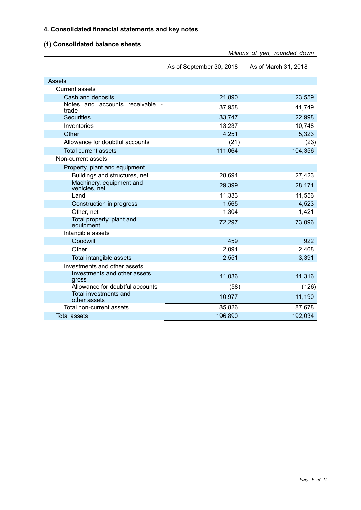#### **4. Consolidated financial statements and key notes**

### **(1) Consolidated balance sheets**

|                                           | Millions of yen, rounded down |                      |  |
|-------------------------------------------|-------------------------------|----------------------|--|
|                                           | As of September 30, 2018      | As of March 31, 2018 |  |
| <b>Assets</b>                             |                               |                      |  |
| <b>Current assets</b>                     |                               |                      |  |
| Cash and deposits                         | 21,890                        | 23,559               |  |
| Notes and accounts receivable -<br>trade  | 37,958                        | 41,749               |  |
| <b>Securities</b>                         | 33,747                        | 22,998               |  |
| Inventories                               | 13,237                        | 10,748               |  |
| Other                                     | 4,251                         | 5,323                |  |
| Allowance for doubtful accounts           | (21)                          | (23)                 |  |
| <b>Total current assets</b>               | 111,064                       | 104,356              |  |
| Non-current assets                        |                               |                      |  |
| Property, plant and equipment             |                               |                      |  |
| Buildings and structures, net             | 28,694                        | 27,423               |  |
| Machinery, equipment and<br>vehicles, net | 29,399                        | 28,171               |  |
| Land                                      | 11,333                        | 11,556               |  |
| Construction in progress                  | 1,565                         | 4,523                |  |
| Other, net                                | 1,304                         | 1,421                |  |
| Total property, plant and<br>equipment    | 72,297                        | 73,096               |  |
| Intangible assets                         |                               |                      |  |
| Goodwill                                  | 459                           | 922                  |  |
| Other                                     | 2,091                         | 2,468                |  |
| Total intangible assets                   | 2,551                         | 3,391                |  |
| Investments and other assets              |                               |                      |  |
| Investments and other assets,<br>gross    | 11,036                        | 11,316               |  |
| Allowance for doubtful accounts           | (58)                          | (126)                |  |
| Total investments and<br>other assets     | 10,977                        | 11,190               |  |
| Total non-current assets                  | 85,826                        | 87,678               |  |
| <b>Total assets</b>                       | 196,890                       | 192,034              |  |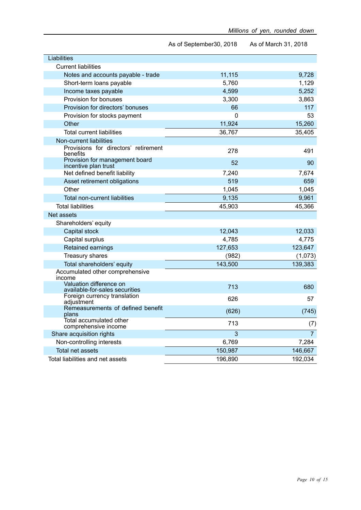|                                                           | As of September30, 2018 | As of March 31, 2018 |
|-----------------------------------------------------------|-------------------------|----------------------|
| <b>Liabilities</b>                                        |                         |                      |
| <b>Current liabilities</b>                                |                         |                      |
| Notes and accounts payable - trade                        | 11,115                  | 9,728                |
| Short-term loans payable                                  | 5,760                   | 1,129                |
| Income taxes payable                                      | 4,599                   | 5,252                |
| Provision for bonuses                                     | 3,300                   | 3,863                |
| Provision for directors' bonuses                          | 66                      | 117                  |
| Provision for stocks payment                              | $\mathbf{0}$            | 53                   |
| Other                                                     | 11,924                  | 15,260               |
| <b>Total current liabilities</b>                          | 36,767                  | 35,405               |
| Non-current liabilities                                   |                         |                      |
| Provisions for directors' retirement<br>benefits          | 278                     | 491                  |
| Provision for management board<br>incentive plan trust    | 52                      | 90                   |
| Net defined benefit liability                             | 7,240                   | 7,674                |
| Asset retirement obligations                              | 519                     | 659                  |
| Other                                                     | 1,045                   | 1,045                |
| Total non-current liabilities                             | 9,135                   | 9,961                |
| <b>Total liabilities</b>                                  | 45,903                  | 45,366               |
| Net assets                                                |                         |                      |
| Shareholders' equity                                      |                         |                      |
| Capital stock                                             | 12,043                  | 12,033               |
| Capital surplus                                           | 4,785                   | 4,775                |
| Retained earnings                                         | 127,653                 | 123,647              |
| <b>Treasury shares</b>                                    | (982)                   | (1,073)              |
| Total shareholders' equity                                | 143,500                 | 139,383              |
| Accumulated other comprehensive<br>income                 |                         |                      |
| Valuation difference on<br>available-for-sales securities | 713                     | 680                  |
| Foreign currency translation<br>adjustment                | 626                     | 57                   |
| Remeasurements of defined benefit<br>plans                | (626)                   | (745)                |
| Total accumulated other<br>comprehensive income           | 713                     | (7)                  |
| Share acquisition rights                                  | 3                       | $\overline{7}$       |
| Non-controlling interests                                 | 6,769                   | 7,284                |
| Total net assets                                          | 150,987                 | 146,667              |
| Total liabilities and net assets                          | 196,890                 | 192,034              |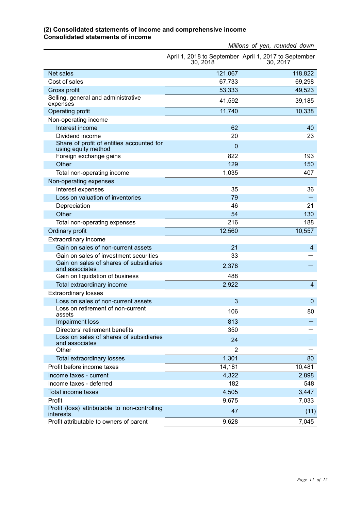#### *Millions of yen, rounded down* April 1, 2018 to September April 1, 2017 to September 30, 2018 30, 2017 Net sales 121,067 118,822 Cost of sales 69,298 Gross profit 53,333 49,523 Selling, general and administrative expenses 41,592 39,185 Operating profit 10,338 and 11,740 10,338 Non-operating income Interest income 62 40 Dividend income 20 23 Share of profit of entities accounted for Share of profit of entities accounted for<br>using equity method and the state of the state of the state of the state of the state of the state of the state<br>Foreign exchange gains and the state of the state of the state of th Foreign exchange gains Other 129 150 and 129 150 and 129 150 and 129 150 and 129 150 and 129 150 and 129 150 and 129 150 and 129 150 Total non-operating income 1,035 407 Non-operating expenses Interest expenses 35 36 Loss on valuation of inventories **1998** - 1999 - 1999 - 1999 - 1999 - 1999 - 1999 - 1999 - 1999 - 1999 - 1999 - 1 Depreciation 21 21 Other 54 130 Total non-operating expenses The Control of the Control of the 216 188 Ordinary profit 12,560 10,557 Extraordinary income Gain on sales of non-current assets **21** and 21 and 21 and 21 and 21 and 21 and 21 and 21 and 21 and 22 and 22 and 22 and 22 and 22 and 22 and 22 and 22 and 22 and 22 and 22 and 22 and 22 and 22 and 22 and 22 and 22 and 22 Gain on sales of investment securities 33 - Gain on sales of shares of subsidiaries<br>and associates Gain on sales of shares of subsidiaries  $2,378$ <br>and associates  $-$ Gain on liquidation of business 488 Total extraordinary income **2,922** 44 Extraordinary losses Loss on sales of non-current assets 3 0 Loss on retirement of non-current<br>assets Loss of relitentent of non-current<br>assets 30 Impairment loss and the control of the control of the control of the control of the control of the control of the control of the control of the control of the control of the control of the control of the control of the con Directors' retirement benefits 350 Loss on sales of shares of subsidiaries  $24$  and associates  $24$  -and associates 24  $-$ Other 2 Total extraordinary losses 1,301 and 1,301 and 1,301 and 1,301 and 1,301 and 1,301 and 1,301 and 1,301 and 1,301 and 1,301 and 1,301 and 1,301 and 1,301 and 1,301 and 1,301 and 1,301 and 1,301 and 1,301 and 1,301 and 1,301 Profit before income taxes and the set of the set of the 14,181 10,481 10,481  $1$ ncome taxes - current  $2.898$ Income taxes - deferred 182 548 Total income taxes 3,447 Profit 2,033 and 2,033 and 2,033 and 2,033 and 2,033 and 2,033 and 2,033 and 2,033 and 2,033 and 2,033 and 2,0

r folit (loss) attributable to hon-controlling 47 (11)<br>interests (11) Profit attributable to owners of parent 9,628 7,045

Profit (loss) attributable to non-controlling

#### **(2) Consolidated statements of income and comprehensive income Consolidated statements of income**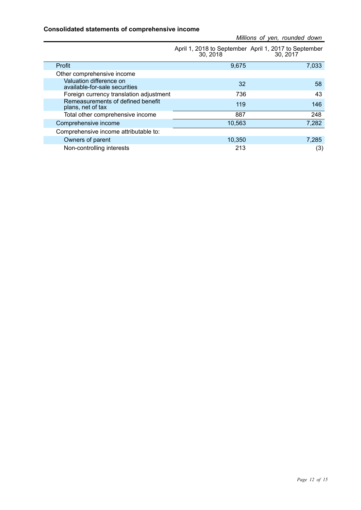#### **Consolidated statements of comprehensive income**

| Millions of yen, rounded down |  |  |  |
|-------------------------------|--|--|--|
|-------------------------------|--|--|--|

|                                                          | 30, 2018 | April 1, 2018 to September April 1, 2017 to September<br>30, 2017 |
|----------------------------------------------------------|----------|-------------------------------------------------------------------|
| Profit                                                   | 9,675    | 7,033                                                             |
| Other comprehensive income                               |          |                                                                   |
| Valuation difference on<br>available-for-sale securities | 32       | 58                                                                |
| Foreign currency translation adjustment                  | 736      | 43                                                                |
| Remeasurements of defined benefit<br>plans, net of tax   | 119      | 146                                                               |
| Total other comprehensive income                         | 887      | 248                                                               |
| Comprehensive income                                     | 10,563   | 7,282                                                             |
| Comprehensive income attributable to:                    |          |                                                                   |
| Owners of parent                                         | 10,350   | 7,285                                                             |
| Non-controlling interests                                | 213      | (3)                                                               |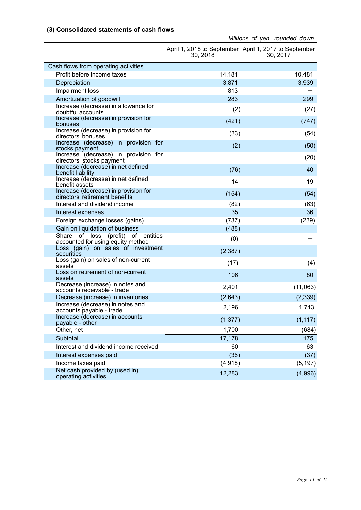#### **(3) Consolidated statements of cash flows**

|                                                                         | 30, 2018 | April 1, 2018 to September April 1, 2017 to September<br>30, 2017 |
|-------------------------------------------------------------------------|----------|-------------------------------------------------------------------|
| Cash flows from operating activities                                    |          |                                                                   |
| Profit before income taxes                                              | 14,181   | 10,481                                                            |
| Depreciation                                                            | 3,871    | 3,939                                                             |
| Impairment loss                                                         | 813      |                                                                   |
| Amortization of goodwill                                                | 283      | 299                                                               |
| Increase (decrease) in allowance for<br>doubtful accounts               | (2)      | (27)                                                              |
| Increase (decrease) in provision for<br>bonuses                         | (421)    | (747)                                                             |
| Increase (decrease) in provision for<br>directors' bonuses              | (33)     | (54)                                                              |
| Increase (decrease) in provision for<br>stocks payment                  | (2)      | (50)                                                              |
| Increase (decrease) in provision for<br>directors' stocks payment       |          | (20)                                                              |
| Increase (decrease) in net defined<br>benefit liability                 | (76)     | 40                                                                |
| Increase (decrease) in net defined<br>benefit assets                    | 14       | 19                                                                |
| Increase (decrease) in provision for<br>directors' retirement benefits  | (154)    | (54)                                                              |
| Interest and dividend income                                            | (82)     | (63)                                                              |
| Interest expenses                                                       | 35       | 36                                                                |
| Foreign exchange losses (gains)                                         | (737)    | (239)                                                             |
| Gain on liquidation of business                                         | (488)    |                                                                   |
| Share of loss (profit) of entities<br>accounted for using equity method | (0)      |                                                                   |
| Loss (gain) on sales of investment<br>securities                        | (2, 387) |                                                                   |
| Loss (gain) on sales of non-current<br>assets                           | (17)     | (4)                                                               |
| Loss on retirement of non-current<br>assets                             | 106      | 80                                                                |
| Decrease (increase) in notes and<br>accounts receivable - trade         | 2,401    | (11,063)                                                          |
| Decrease (increase) in inventories                                      | (2,643)  | (2, 339)                                                          |
| Increase (decrease) in notes and<br>accounts payable - trade            | 2,196    | 1,743                                                             |
| Increase (decrease) in accounts<br>payable - other                      | (1, 377) | (1, 117)                                                          |
| Other, net                                                              | 1,700    | (684)                                                             |
| Subtotal                                                                | 17,178   | 175                                                               |
| Interest and dividend income received                                   | 60       | 63                                                                |
| Interest expenses paid                                                  | (36)     | (37)                                                              |
| Income taxes paid                                                       | (4,918)  | (5, 197)                                                          |
| Net cash provided by (used in)<br>operating activities                  | 12,283   | (4,996)                                                           |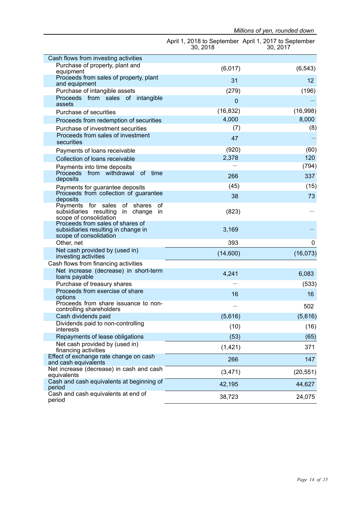|                                                                                                         | 30, 2018    | April 1, 2018 to September April 1, 2017 to September<br>30, 2017 |
|---------------------------------------------------------------------------------------------------------|-------------|-------------------------------------------------------------------|
| Cash flows from investing activities                                                                    |             |                                                                   |
| Purchase of property, plant and<br>equipment                                                            | (6,017)     | (6, 543)                                                          |
| Proceeds from sales of property, plant<br>and equipment                                                 | 31          | 12                                                                |
| Purchase of intangible assets                                                                           | (279)       | (196)                                                             |
| Proceeds from sales of intangible<br>assets                                                             | $\mathbf 0$ |                                                                   |
| Purchase of securities                                                                                  | (16, 832)   | (16,998)                                                          |
| Proceeds from redemption of securities                                                                  | 4,000       | 8,000                                                             |
| Purchase of investment securities                                                                       | (7)         | (8)                                                               |
| Proceeds from sales of investment<br>securities                                                         | 47          |                                                                   |
| Payments of loans receivable                                                                            | (920)       | (60)                                                              |
| Collection of loans receivable                                                                          | 2,378       | 120                                                               |
| Payments into time deposits                                                                             |             | (794)                                                             |
| Proceeds from withdrawal of time<br>deposits                                                            | 266         | 337                                                               |
| Payments for guarantee deposits                                                                         | (45)        | (15)                                                              |
| Proceeds from collection of guarantee<br>deposits                                                       | 38          | 73                                                                |
| Payments for sales of shares<br>0f<br>subsidiaries resulting in change<br>in.<br>scope of consolidation | (823)       |                                                                   |
| Proceeds from sales of shares of<br>subsidiaries resulting in change in<br>scope of consolidation       | 3,169       |                                                                   |
| Other, net                                                                                              | 393         | 0                                                                 |
| Net cash provided by (used in)<br>investing activities                                                  | (14,600)    | (16, 073)                                                         |
| Cash flows from financing activities                                                                    |             |                                                                   |
| Net increase (decrease) in short-term<br>loans payable                                                  | 4,241       | 6,083                                                             |
| Purchase of treasury shares                                                                             |             | (533)                                                             |
| Proceeds from exercise of share<br>options                                                              | 16          | 16                                                                |
| Proceeds from share issuance to non-<br>controlling shareholders                                        |             | 502                                                               |
| Cash dividends paid                                                                                     | (5,616)     | (5,616)                                                           |
| Dividends paid to non-controlling<br>interests                                                          | (10)        | (16)                                                              |
| Repayments of lease obligations                                                                         | (53)        | (65)                                                              |
| Net cash provided by (used in)<br>financing activities                                                  | (1, 421)    | 371                                                               |
| Effect of exchange rate change on cash<br>and cash equivalents                                          | 266         | 147                                                               |
| Net increase (decrease) in cash and cash<br>equivalents                                                 | (3, 471)    | (20, 551)                                                         |
| Cash and cash equivalents at beginning of<br>period                                                     | 42,195      | 44,627                                                            |
| Cash and cash equivalents at end of<br>period                                                           | 38,723      | 24,075                                                            |